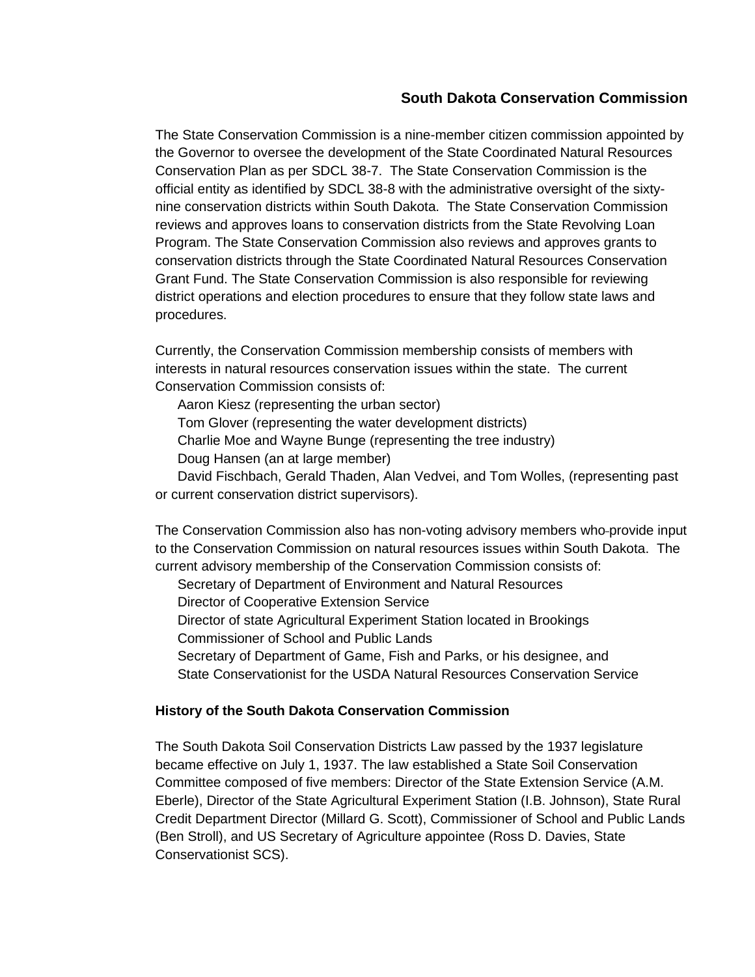## **South Dakota Conservation Commission**

The State Conservation Commission is a nine-member citizen commission appointed by the Governor to oversee the development of the State Coordinated Natural Resources Conservation Plan as per SDCL 38-7. The State Conservation Commission is the official entity as identified by SDCL 38-8 with the administrative oversight of the sixtynine conservation districts within South Dakota. The State Conservation Commission reviews and approves loans to conservation districts from the State Revolving Loan Program. The State Conservation Commission also reviews and approves grants to conservation districts through the State Coordinated Natural Resources Conservation Grant Fund. The State Conservation Commission is also responsible for reviewing district operations and election procedures to ensure that they follow state laws and procedures.

Currently, the Conservation Commission membership consists of members with interests in natural resources conservation issues within the state. The current Conservation Commission consists of:

Aaron Kiesz (representing the urban sector)

Tom Glover (representing the water development districts)

Charlie Moe and Wayne Bunge (representing the tree industry)

Doug Hansen (an at large member)

David Fischbach, Gerald Thaden, Alan Vedvei, and Tom Wolles, (representing past or current conservation district supervisors).

The Conservation Commission also has non-voting advisory members who-provide input to the Conservation Commission on natural resources issues within South Dakota. The current advisory membership of the Conservation Commission consists of:

Secretary of Department of Environment and Natural Resources

Director of Cooperative Extension Service

Director of state Agricultural Experiment Station located in Brookings

Commissioner of School and Public Lands

Secretary of Department of Game, Fish and Parks, or his designee, and

State Conservationist for the USDA Natural Resources Conservation Service

## **History of the South Dakota Conservation Commission**

The South Dakota Soil Conservation Districts Law passed by the 1937 legislature became effective on July 1, 1937. The law established a State Soil Conservation Committee composed of five members: Director of the State Extension Service (A.M. Eberle), Director of the State Agricultural Experiment Station (I.B. Johnson), State Rural Credit Department Director (Millard G. Scott), Commissioner of School and Public Lands (Ben Stroll), and US Secretary of Agriculture appointee (Ross D. Davies, State Conservationist SCS).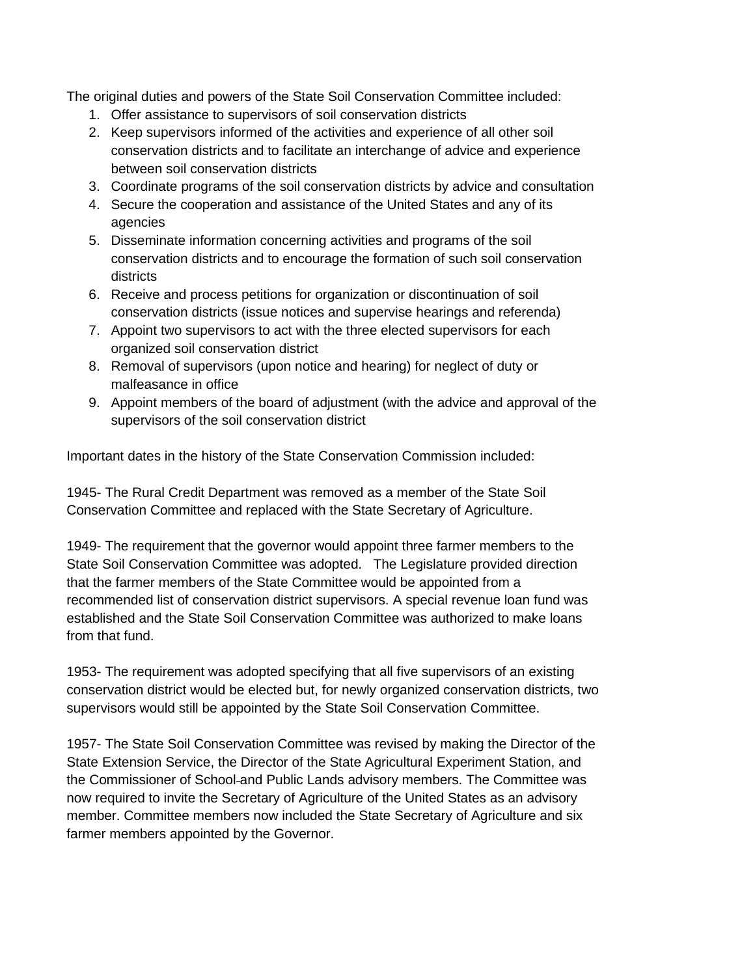The original duties and powers of the State Soil Conservation Committee included:

- 1. Offer assistance to supervisors of soil conservation districts
- 2. Keep supervisors informed of the activities and experience of all other soil conservation districts and to facilitate an interchange of advice and experience between soil conservation districts
- 3. Coordinate programs of the soil conservation districts by advice and consultation
- 4. Secure the cooperation and assistance of the United States and any of its agencies
- 5. Disseminate information concerning activities and programs of the soil conservation districts and to encourage the formation of such soil conservation districts
- 6. Receive and process petitions for organization or discontinuation of soil conservation districts (issue notices and supervise hearings and referenda)
- 7. Appoint two supervisors to act with the three elected supervisors for each organized soil conservation district
- 8. Removal of supervisors (upon notice and hearing) for neglect of duty or malfeasance in office
- 9. Appoint members of the board of adjustment (with the advice and approval of the supervisors of the soil conservation district

Important dates in the history of the State Conservation Commission included:

1945- The Rural Credit Department was removed as a member of the State Soil Conservation Committee and replaced with the State Secretary of Agriculture.

1949- The requirement that the governor would appoint three farmer members to the State Soil Conservation Committee was adopted. The Legislature provided direction that the farmer members of the State Committee would be appointed from a recommended list of conservation district supervisors. A special revenue loan fund was established and the State Soil Conservation Committee was authorized to make loans from that fund.

1953- The requirement was adopted specifying that all five supervisors of an existing conservation district would be elected but, for newly organized conservation districts, two supervisors would still be appointed by the State Soil Conservation Committee.

1957- The State Soil Conservation Committee was revised by making the Director of the State Extension Service, the Director of the State Agricultural Experiment Station, and the Commissioner of School-and Public Lands advisory members. The Committee was now required to invite the Secretary of Agriculture of the United States as an advisory member. Committee members now included the State Secretary of Agriculture and six farmer members appointed by the Governor.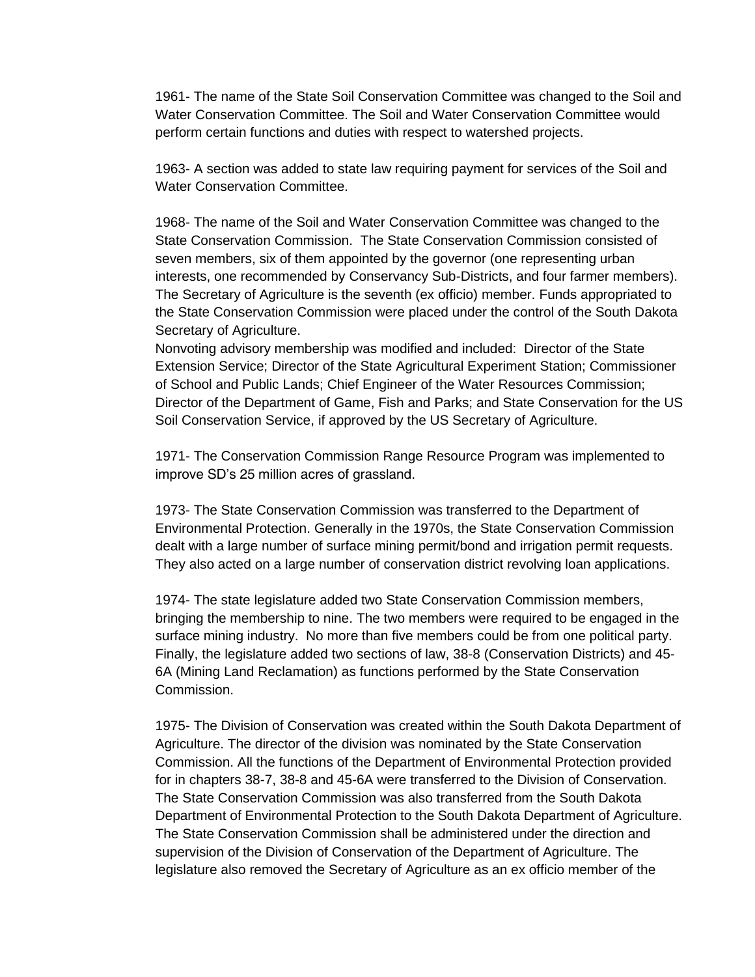1961- The name of the State Soil Conservation Committee was changed to the Soil and Water Conservation Committee. The Soil and Water Conservation Committee would perform certain functions and duties with respect to watershed projects.

1963- A section was added to state law requiring payment for services of the Soil and Water Conservation Committee.

1968- The name of the Soil and Water Conservation Committee was changed to the State Conservation Commission. The State Conservation Commission consisted of seven members, six of them appointed by the governor (one representing urban interests, one recommended by Conservancy Sub-Districts, and four farmer members). The Secretary of Agriculture is the seventh (ex officio) member. Funds appropriated to the State Conservation Commission were placed under the control of the South Dakota Secretary of Agriculture.

Nonvoting advisory membership was modified and included: Director of the State Extension Service; Director of the State Agricultural Experiment Station; Commissioner of School and Public Lands; Chief Engineer of the Water Resources Commission; Director of the Department of Game, Fish and Parks; and State Conservation for the US Soil Conservation Service, if approved by the US Secretary of Agriculture.

1971- The Conservation Commission Range Resource Program was implemented to improve SD's 25 million acres of grassland.

1973- The State Conservation Commission was transferred to the Department of Environmental Protection. Generally in the 1970s, the State Conservation Commission dealt with a large number of surface mining permit/bond and irrigation permit requests. They also acted on a large number of conservation district revolving loan applications.

1974- The state legislature added two State Conservation Commission members, bringing the membership to nine. The two members were required to be engaged in the surface mining industry. No more than five members could be from one political party. Finally, the legislature added two sections of law, 38-8 (Conservation Districts) and 45- 6A (Mining Land Reclamation) as functions performed by the State Conservation Commission.

1975- The Division of Conservation was created within the South Dakota Department of Agriculture. The director of the division was nominated by the State Conservation Commission. All the functions of the Department of Environmental Protection provided for in chapters 38-7, 38-8 and 45-6A were transferred to the Division of Conservation. The State Conservation Commission was also transferred from the South Dakota Department of Environmental Protection to the South Dakota Department of Agriculture. The State Conservation Commission shall be administered under the direction and supervision of the Division of Conservation of the Department of Agriculture. The legislature also removed the Secretary of Agriculture as an ex officio member of the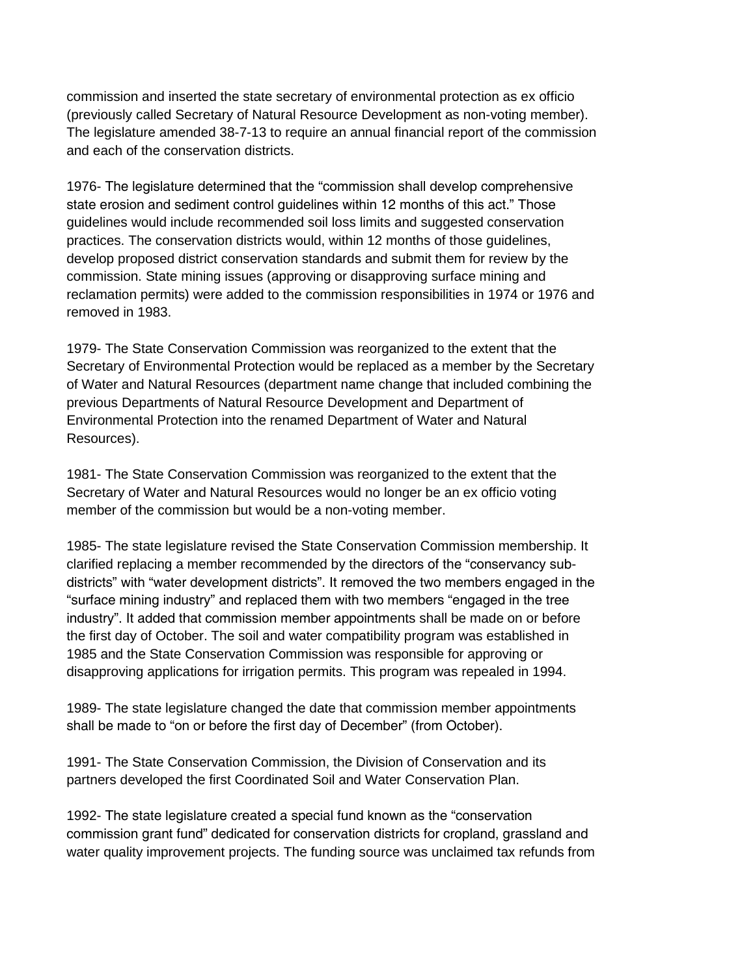commission and inserted the state secretary of environmental protection as ex officio (previously called Secretary of Natural Resource Development as non-voting member). The legislature amended 38-7-13 to require an annual financial report of the commission and each of the conservation districts.

1976- The legislature determined that the "commission shall develop comprehensive state erosion and sediment control guidelines within 12 months of this act." Those guidelines would include recommended soil loss limits and suggested conservation practices. The conservation districts would, within 12 months of those guidelines, develop proposed district conservation standards and submit them for review by the commission. State mining issues (approving or disapproving surface mining and reclamation permits) were added to the commission responsibilities in 1974 or 1976 and removed in 1983.

1979- The State Conservation Commission was reorganized to the extent that the Secretary of Environmental Protection would be replaced as a member by the Secretary of Water and Natural Resources (department name change that included combining the previous Departments of Natural Resource Development and Department of Environmental Protection into the renamed Department of Water and Natural Resources).

1981- The State Conservation Commission was reorganized to the extent that the Secretary of Water and Natural Resources would no longer be an ex officio voting member of the commission but would be a non-voting member.

1985- The state legislature revised the State Conservation Commission membership. It clarified replacing a member recommended by the directors of the "conservancy subdistricts" with "water development districts". It removed the two members engaged in the "surface mining industry" and replaced them with two members "engaged in the tree industry". It added that commission member appointments shall be made on or before the first day of October. The soil and water compatibility program was established in 1985 and the State Conservation Commission was responsible for approving or disapproving applications for irrigation permits. This program was repealed in 1994.

1989- The state legislature changed the date that commission member appointments shall be made to "on or before the first day of December" (from October).

1991- The State Conservation Commission, the Division of Conservation and its partners developed the first Coordinated Soil and Water Conservation Plan.

1992- The state legislature created a special fund known as the "conservation commission grant fund" dedicated for conservation districts for cropland, grassland and water quality improvement projects. The funding source was unclaimed tax refunds from